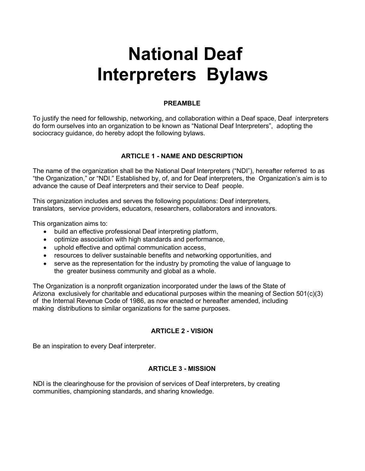# **National Deaf Interpreters Bylaws**

## **PREAMBLE**

To justify the need for fellowship, networking, and collaboration within a Deaf space, Deaf interpreters do form ourselves into an organization to be known as "National Deaf Interpreters", adopting the sociocracy guidance, do hereby adopt the following bylaws.

#### **ARTICLE 1 - NAME AND DESCRIPTION**

The name of the organization shall be the National Deaf Interpreters ("NDI"), hereafter referred to as "the Organization," or "NDI." Established by, of, and for Deaf interpreters, the Organization's aim is to advance the cause of Deaf interpreters and their service to Deaf people.

This organization includes and serves the following populations: Deaf interpreters, translators, service providers, educators, researchers, collaborators and innovators.

This organization aims to:

- build an effective professional Deaf interpreting platform,
- optimize association with high standards and performance,
- uphold effective and optimal communication access,
- resources to deliver sustainable benefits and networking opportunities, and
- serve as the representation for the industry by promoting the value of language to the greater business community and global as a whole.

The Organization is a nonprofit organization incorporated under the laws of the State of Arizona exclusively for charitable and educational purposes within the meaning of Section 501(c)(3) of the Internal Revenue Code of 1986, as now enacted or hereafter amended, including making distributions to similar organizations for the same purposes.

#### **ARTICLE 2 - VISION**

Be an inspiration to every Deaf interpreter.

# **ARTICLE 3 - MISSION**

NDI is the clearinghouse for the provision of services of Deaf interpreters, by creating communities, championing standards, and sharing knowledge.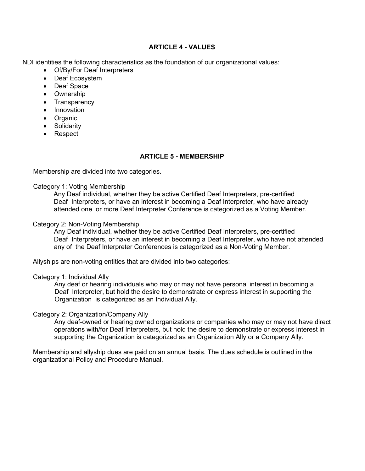#### **ARTICLE 4 - VALUES**

NDI identities the following characteristics as the foundation of our organizational values:

- Of/By/For Deaf Interpreters
- Deaf Ecosystem
- Deaf Space
- Ownership
- Transparency
- Innovation
- Organic
- Solidarity
- Respect

#### **ARTICLE 5 - MEMBERSHIP**

Membership are divided into two categories.

#### Category 1: Voting Membership

Any Deaf individual, whether they be active Certified Deaf Interpreters, pre-certified Deaf Interpreters, or have an interest in becoming a Deaf Interpreter, who have already attended one or more Deaf Interpreter Conference is categorized as a Voting Member.

#### Category 2: Non-Voting Membership

Any Deaf individual, whether they be active Certified Deaf Interpreters, pre-certified Deaf Interpreters, or have an interest in becoming a Deaf Interpreter, who have not attended any of the Deaf Interpreter Conferences is categorized as a Non-Voting Member.

Allyships are non-voting entities that are divided into two categories:

#### Category 1: Individual Ally

Any deaf or hearing individuals who may or may not have personal interest in becoming a Deaf Interpreter, but hold the desire to demonstrate or express interest in supporting the Organization is categorized as an Individual Ally.

#### Category 2: Organization/Company Ally

Any deaf-owned or hearing owned organizations or companies who may or may not have direct operations with/for Deaf Interpreters, but hold the desire to demonstrate or express interest in supporting the Organization is categorized as an Organization Ally or a Company Ally.

Membership and allyship dues are paid on an annual basis. The dues schedule is outlined in the organizational Policy and Procedure Manual.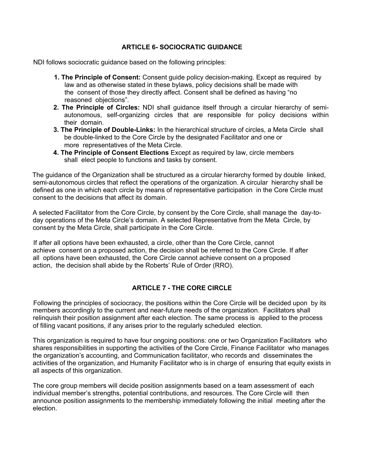## **ARTICLE 6- SOCIOCRATIC GUIDANCE**

NDI follows sociocratic guidance based on the following principles:

- **1. The Principle of Consent:** Consent guide policy decision-making. Except as required by law and as otherwise stated in these bylaws, policy decisions shall be made with the consent of those they directly affect. Consent shall be defined as having "no reasoned objections".
- **2. The Principle of Circles:** NDI shall guidance itself through a circular hierarchy of semiautonomous, self-organizing circles that are responsible for policy decisions within their domain.
- **3. The Principle of Double-Links:** In the hierarchical structure of circles, a Meta Circle shall be double-linked to the Core Circle by the designated Facilitator and one or more representatives of the Meta Circle.
- **4. The Principle of Consent Elections** Except as required by law, circle members shall elect people to functions and tasks by consent.

The guidance of the Organization shall be structured as a circular hierarchy formed by double linked, semi-autonomous circles that reflect the operations of the organization. A circular hierarchy shall be defined as one in which each circle by means of representative participation in the Core Circle must consent to the decisions that affect its domain.

A selected Facilitator from the Core Circle, by consent by the Core Circle, shall manage the day-today operations of the Meta Circle's domain. A selected Representative from the Meta Circle, by consent by the Meta Circle, shall participate in the Core Circle.

If after all options have been exhausted, a circle, other than the Core Circle, cannot achieve consent on a proposed action, the decision shall be referred to the Core Circle. If after all options have been exhausted, the Core Circle cannot achieve consent on a proposed action, the decision shall abide by the Roberts' Rule of Order (RRO).

# **ARTICLE 7 - THE CORE CIRCLE**

Following the principles of sociocracy, the positions within the Core Circle will be decided upon by its members accordingly to the current and near-future needs of the organization. Facilitators shall relinquish their position assignment after each election. The same process is applied to the process of filling vacant positions, if any arises prior to the regularly scheduled election.

This organization is required to have four ongoing positions: one or two Organization Facilitators who shares responsibilities in supporting the activities of the Core Circle, Finance Facilitator who manages the organization's accounting, and Communication facilitator, who records and disseminates the activities of the organization, and Humanity Facilitator who is in charge of ensuring that equity exists in all aspects of this organization.

The core group members will decide position assignments based on a team assessment of each individual member's strengths, potential contributions, and resources. The Core Circle will then announce position assignments to the membership immediately following the initial meeting after the election.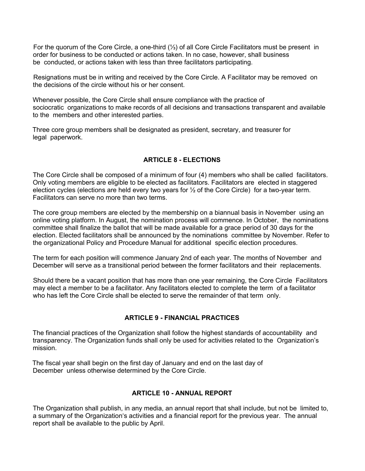For the quorum of the Core Circle, a one-third (⅓) of all Core Circle Facilitators must be present in order for business to be conducted or actions taken. In no case, however, shall business be conducted, or actions taken with less than three facilitators participating.

Resignations must be in writing and received by the Core Circle. A Facilitator may be removed on the decisions of the circle without his or her consent.

Whenever possible, the Core Circle shall ensure compliance with the practice of sociocratic organizations to make records of all decisions and transactions transparent and available to the members and other interested parties.

Three core group members shall be designated as president, secretary, and treasurer for legal paperwork.

# **ARTICLE 8 - ELECTIONS**

The Core Circle shall be composed of a minimum of four (4) members who shall be called facilitators. Only voting members are eligible to be elected as facilitators. Facilitators are elected in staggered election cycles (elections are held every two years for  $\frac{1}{2}$  of the Core Circle) for a two-year term. Facilitators can serve no more than two terms.

The core group members are elected by the membership on a biannual basis in November using an online voting platform. In August, the nomination process will commence. In October, the nominations committee shall finalize the ballot that will be made available for a grace period of 30 days for the election. Elected facilitators shall be announced by the nominations committee by November. Refer to the organizational Policy and Procedure Manual for additional specific election procedures.

The term for each position will commence January 2nd of each year. The months of November and December will serve as a transitional period between the former facilitators and their replacements.

Should there be a vacant position that has more than one year remaining, the Core Circle Facilitators may elect a member to be a facilitator. Any facilitators elected to complete the term of a facilitator who has left the Core Circle shall be elected to serve the remainder of that term only.

#### **ARTICLE 9 - FINANCIAL PRACTICES**

The financial practices of the Organization shall follow the highest standards of accountability and transparency. The Organization funds shall only be used for activities related to the Organization's mission.

The fiscal year shall begin on the first day of January and end on the last day of December unless otherwise determined by the Core Circle.

#### **ARTICLE 10 - ANNUAL REPORT**

The Organization shall publish, in any media, an annual report that shall include, but not be limited to, a summary of the Organization's activities and a financial report for the previous year. The annual report shall be available to the public by April.